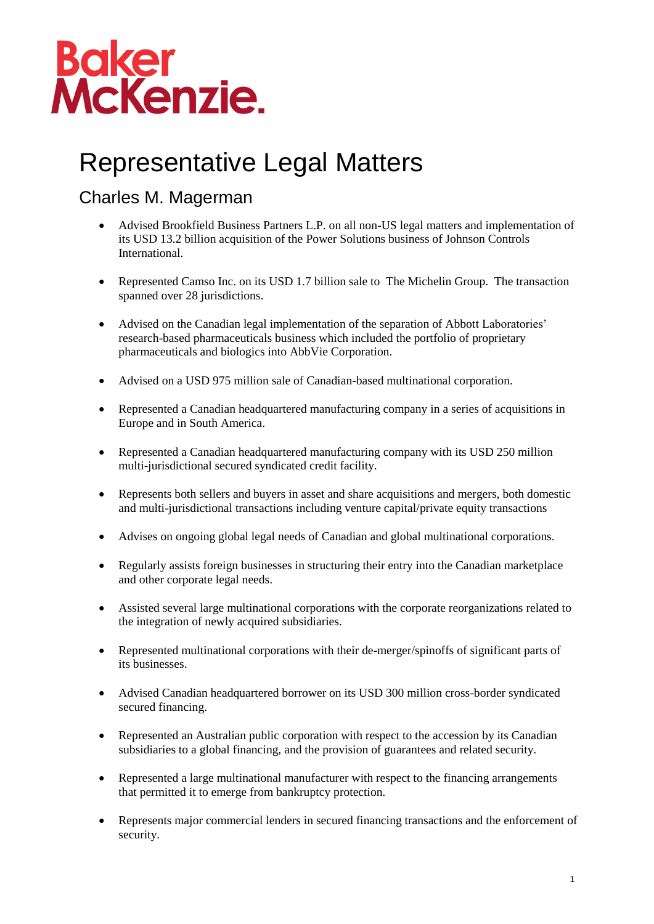## **Baker<br>McKenzie.**

## Representative Legal Matters

## Charles M. Magerman

- Advised Brookfield Business Partners L.P. on all non-US legal matters and implementation of its USD 13.2 billion acquisition of the Power Solutions business of Johnson Controls International.
- Represented Camso Inc. on its USD 1.7 billion sale to The Michelin Group. The transaction spanned over 28 jurisdictions.
- Advised on the Canadian legal implementation of the separation of Abbott Laboratories' research-based pharmaceuticals business which included the portfolio of proprietary pharmaceuticals and biologics into AbbVie Corporation.
- Advised on a USD 975 million sale of Canadian-based multinational corporation.
- Represented a Canadian headquartered manufacturing company in a series of acquisitions in Europe and in South America.
- Represented a Canadian headquartered manufacturing company with its USD 250 million multi-jurisdictional secured syndicated credit facility.
- Represents both sellers and buyers in asset and share acquisitions and mergers, both domestic and multi-jurisdictional transactions including venture capital/private equity transactions
- Advises on ongoing global legal needs of Canadian and global multinational corporations.
- Regularly assists foreign businesses in structuring their entry into the Canadian marketplace and other corporate legal needs.
- Assisted several large multinational corporations with the corporate reorganizations related to the integration of newly acquired subsidiaries.
- Represented multinational corporations with their de-merger/spinoffs of significant parts of its businesses.
- Advised Canadian headquartered borrower on its USD 300 million cross-border syndicated secured financing.
- Represented an Australian public corporation with respect to the accession by its Canadian subsidiaries to a global financing, and the provision of guarantees and related security.
- Represented a large multinational manufacturer with respect to the financing arrangements that permitted it to emerge from bankruptcy protection.
- Represents major commercial lenders in secured financing transactions and the enforcement of security.